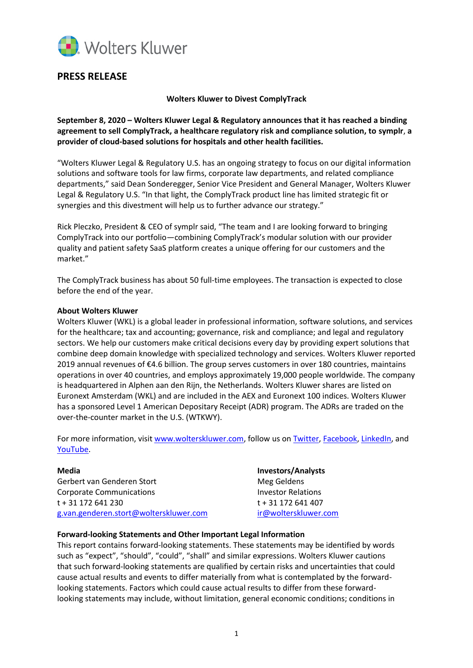

## **PRESS RELEASE**

**Wolters Kluwer to Divest ComplyTrack**

**September 8, 2020 – Wolters Kluwer Legal & Regulatory announces that it has reached a binding agreement to sell ComplyTrack, a healthcare regulatory risk and compliance solution, to symplr**, **a provider of cloud-based solutions for hospitals and other health facilities.**

"Wolters Kluwer Legal & Regulatory U.S. has an ongoing strategy to focus on our digital information solutions and software tools for law firms, corporate law departments, and related compliance departments," said Dean Sonderegger, Senior Vice President and General Manager, Wolters Kluwer Legal & Regulatory U.S. "In that light, the ComplyTrack product line has limited strategic fit or synergies and this divestment will help us to further advance our strategy."

Rick Pleczko, President & CEO of symplr said, "The team and I are looking forward to bringing ComplyTrack into our portfolio—combining ComplyTrack's modular solution with our provider quality and patient safety SaaS platform creates a unique offering for our customers and the market."

The ComplyTrack business has about 50 full-time employees. The transaction is expected to close before the end of the year.

## **About Wolters Kluwer**

Wolters Kluwer (WKL) is a global leader in professional information, software solutions, and services for the healthcare; tax and accounting; governance, risk and compliance; and legal and regulatory sectors. We help our customers make critical decisions every day by providing expert solutions that combine deep domain knowledge with specialized technology and services. Wolters Kluwer reported 2019 annual revenues of €4.6 billion. The group serves customers in over 180 countries, maintains operations in over 40 countries, and employs approximately 19,000 people worldwide. The company is headquartered in Alphen aan den Rijn, the Netherlands. Wolters Kluwer shares are listed on Euronext Amsterdam (WKL) and are included in the AEX and Euronext 100 indices. Wolters Kluwer has a sponsored Level 1 American Depositary Receipt (ADR) program. The ADRs are traded on the over-the-counter market in the U.S. (WTKWY).

For more information, visi[t www.wolterskluwer.com,](http://www.wolterskluwer.com/) follow us on [Twitter,](https://twitter.com/wolters_kluwer) [Facebook,](https://www.facebook.com/wolterskluwer) [LinkedIn,](https://www.linkedin.com/company/2483?trk=tyah&trkInfo=tarId%3A1415118411059%2Ctas%3Awolters%20kluwer%2Cidx%3A2-1-6) and [YouTube.](http://www.youtube.com/user/WoltersKluwerComms)

**Media Investors/Analysts** Gerbert van Genderen Stort aan deutschappen van Meg Geldens Corporate Communications The Corporation of the Investor Relations t + 31 172 641 230 t + 31 172 641 407 [g.van.genderen.stort@wolterskluwer.com](mailto:g.van.genderen.stort@wolterskluwer.com) [ir@wolterskluwer.com](mailto:ir@wolterskluwer.com)

## **Forward-looking Statements and Other Important Legal Information**

This report contains forward-looking statements. These statements may be identified by words such as "expect", "should", "could", "shall" and similar expressions. Wolters Kluwer cautions that such forward-looking statements are qualified by certain risks and uncertainties that could cause actual results and events to differ materially from what is contemplated by the forwardlooking statements. Factors which could cause actual results to differ from these forwardlooking statements may include, without limitation, general economic conditions; conditions in